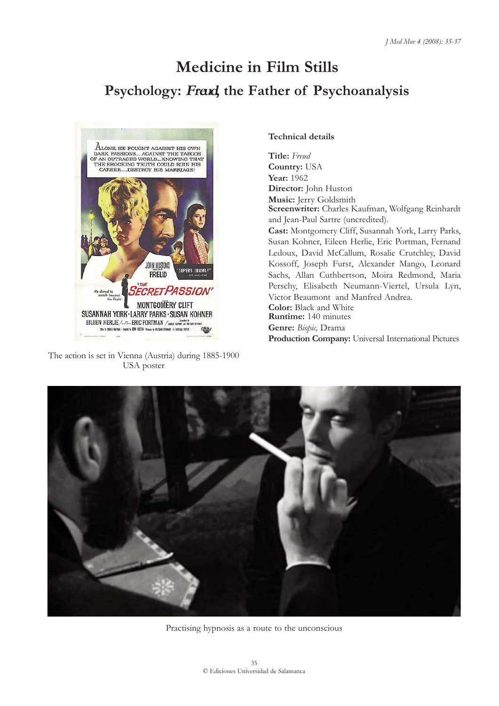## **Medicine in Film Stills Psychology: Freud, the Father of Psychoanalysis**



The action is set in Vienna (Austria) during 1885-1900 USA poster

## **Technical details**

**Title:** *Freud* **Country:** USA **Year:** 1962 **Director:** John Huston **Music:** Jerry Goldsmith **Screenwriter:** Charles Kaufman, Wolfgang Reinhardt and Jean-Paul Sartre (uncredited). **Cast:** Montgomery Cliff, Susannah York, Larry Parks, Susan Kohner, Eileen Herlie, Eric Portman, Fernand Ledoux, David McCallum, Rosalie Crutchley, David Kossoff, Joseph Furst, Alexander Mango, Leonard Sachs, Allan Cuthbertson, Moira Redmond, Maria Perschy, Elisabeth Neumann-Viertel, Ursula Lyn, Victor Beaumont and Manfred Andrea. **Color:** Black and White **Runtime:** 140 minutes **Genre:** *Biopic,* Drama **Production Company:** Universal International Pictures



Practising hypnosis as a route to the unconscious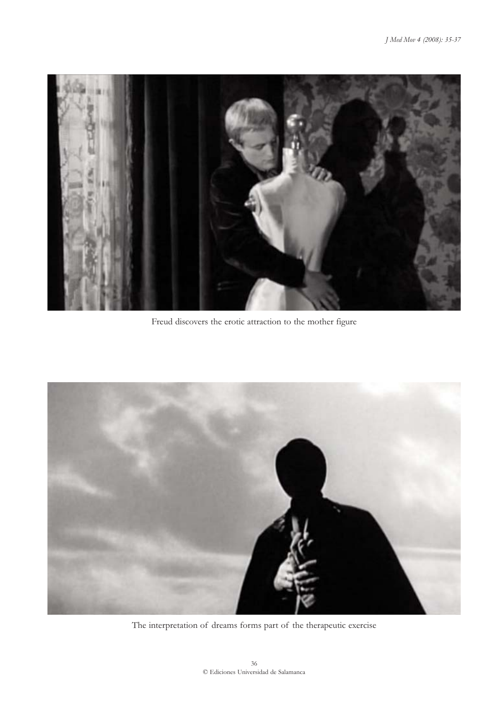

Freud discovers the erotic attraction to the mother figure



The interpretation of dreams forms part of the therapeutic exercise